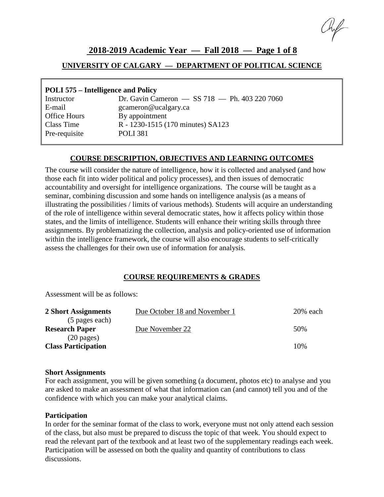## **2018-2019 Academic Year — Fall 2018 — Page 1 of 8**

### **UNIVERSITY OF CALGARY — DEPARTMENT OF POLITICAL SCIENCE**

### **POLI 575 – Intelligence and Policy**

| Instructor    | Dr. Gavin Cameron - SS 718 - Ph. 403 220 7060 |
|---------------|-----------------------------------------------|
| E-mail        | gcameron@ucalgary.ca                          |
| Office Hours  | By appointment                                |
| Class Time    | R - 1230-1515 (170 minutes) SA123             |
| Pre-requisite | <b>POLI</b> 381                               |
|               |                                               |

#### **COURSE DESCRIPTION, OBJECTIVES AND LEARNING OUTCOMES**

The course will consider the nature of intelligence, how it is collected and analysed (and how those each fit into wider political and policy processes), and then issues of democratic accountability and oversight for intelligence organizations. The course will be taught as a seminar, combining discussion and some hands on intelligence analysis (as a means of illustrating the possibilities / limits of various methods)*.* Students will acquire an understanding of the role of intelligence within several democratic states, how it affects policy within those states, and the limits of intelligence. Students will enhance their writing skills through three assignments. By problematizing the collection, analysis and policy-oriented use of information within the intelligence framework, the course will also encourage students to self-critically assess the challenges for their own use of information for analysis.

#### **COURSE REQUIREMENTS & GRADES**

Assessment will be as follows:

| 2 Short Assignments        | Due October 18 and November 1 | $20%$ each |
|----------------------------|-------------------------------|------------|
| (5 pages each)             |                               |            |
| <b>Research Paper</b>      | Due November 22               | 50%        |
| $(20 \text{ pages})$       |                               |            |
| <b>Class Participation</b> |                               | 10%        |
|                            |                               |            |

#### **Short Assignments**

For each assignment, you will be given something (a document, photos etc) to analyse and you are asked to make an assessment of what that information can (and cannot) tell you and of the confidence with which you can make your analytical claims.

#### **Participation**

In order for the seminar format of the class to work, everyone must not only attend each session of the class, but also must be prepared to discuss the topic of that week. You should expect to read the relevant part of the textbook and at least two of the supplementary readings each week. Participation will be assessed on both the quality and quantity of contributions to class discussions.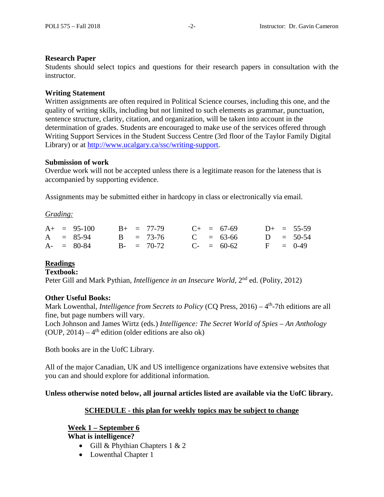#### **Research Paper**

Students should select topics and questions for their research papers in consultation with the instructor.

#### **Writing Statement**

Written assignments are often required in Political Science courses, including this one, and the quality of writing skills, including but not limited to such elements as grammar, punctuation, sentence structure, clarity, citation, and organization, will be taken into account in the determination of grades. Students are encouraged to make use of the services offered through Writing Support Services in the Student Success Centre (3rd floor of the Taylor Family Digital Library) or at [http://www.ucalgary.ca/ssc/writing-support.](http://www.ucalgary.ca/ssc/writing-support)

#### **Submission of work**

Overdue work will not be accepted unless there is a legitimate reason for the lateness that is accompanied by supporting evidence.

Assignments may be submitted either in hardcopy in class or electronically via email.

#### *Grading:*

|  | $A+ = 95-100$ |  | $B_{+}$ = 77-79 |  | $C_{+}$ = 67-69 |  | $D+ = 55-59$ |
|--|---------------|--|-----------------|--|-----------------|--|--------------|
|  | $A = 85-94$   |  | $B = 73-76$     |  | $C = 63-66$     |  | $D = 50-54$  |
|  | $A - = 80-84$ |  | $B - = 70-72$   |  | $C_{-}$ = 60-62 |  | $F = 0-49$   |

#### **Readings**

#### **Textbook:**

Peter Gill and Mark Pythian, *Intelligence in an Insecure World,* 2nd ed. (Polity, 2012)

#### **Other Useful Books:**

Mark Lowenthal, *Intelligence from Secrets to Policy* (CQ Press, 2016) – 4<sup>th</sup>-7th editions are all fine, but page numbers will vary.

Loch Johnson and James Wirtz (eds.) *Intelligence: The Secret World of Spies – An Anthology* (OUP,  $2014$ ) – 4<sup>th</sup> edition (older editions are also ok)

Both books are in the UofC Library.

All of the major Canadian, UK and US intelligence organizations have extensive websites that you can and should explore for additional information.

**Unless otherwise noted below, all journal articles listed are available via the UofC library.**

#### **SCHEDULE - this plan for weekly topics may be subject to change**

#### **Week 1 – September 6**

**What is intelligence?**

- Gill & Phythian Chapters 1 & 2
- Lowenthal Chapter 1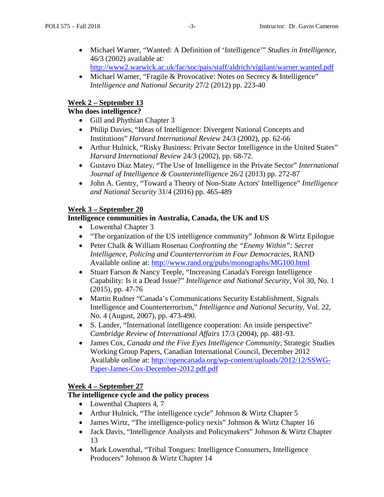- Michael Warner, "Wanted: A Definition of 'Intelligence'" *Studies in Intelligence*, 46/3 (2002) available at: <http://www2.warwick.ac.uk/fac/soc/pais/staff/aldrich/vigilant/warner.wanted.pdf>
- Michael Warner, "Fragile & Provocative: Notes on Secrecy & Intelligence" *Intelligence and National Security* 27/2 (2012) pp. 223-40

## **Week 2 – September 13**

### **Who does intelligence?**

- Gill and Phythian Chapter 3
- Philip Davies, "Ideas of Intelligence: Divergent National Concepts and Institutions" *Harvard International Review* 24/3 (2002), pp. 62-66
- Arthur Hulnick, "Risky Business: Private Sector Intelligence in the United States" *Harvard International Review* 24/3 (2002), pp. 68-72.
- [Gustavo Díaz Matey,](http://www.tandfonline.com/action/doSearch?action=runSearch&type=advanced&searchType=journal&result=true&prevSearch=%2Bauthorsfield%3A(Matey%2C+Gustavo+D%C3%ADaz)) "The Use of Intelligence in the Private Sector" *International Journal of Intelligence & Counterintelligence* 26/2 (2013) pp. 272-87
- John A. Gentry, "Toward a Theory of Non-State Actors' Intelligence" *Intelligence and National Security* 31/4 (2016) pp. 465-489

## **Week 3 – September 20**

### **Intelligence communities in Australia, Canada, the UK and US**

- Lowenthal Chapter 3
- "The organization of the US intelligence community" Johnson & Wirtz Epilogue
- Peter Chalk & William Rosenau *Confronting the "Enemy Within": Secret Intelligence, Policing and Counterterrorism in Four Democracies*, RAND Available online at:<http://www.rand.org/pubs/monographs/MG100.html>
- Stuart Farson & Nancy Teeple, "Increasing Canada's Foreign Intelligence Capability: Is it a Dead Issue?" *Intelligence and National Security*, Vol 30, No. 1 (2015), pp. 47-76
- Martin Rudner "Canada's Communications Security Establishment, Signals Intelligence and Counterterrorism," *Intelligence and National Security*, Vol. 22, No. 4 (August, 2007), pp. 473-490.
- S. Lander, "International intelligence cooperation: An inside perspective" *Cambridge Review of International Affairs* 17/3 (2004), pp. 481-93.
- James Cox, *Canada and the Five Eyes Intelligence Community,* Strategic Studies Working Group Papers, Canadian International Council, December 2012 Available online at: [http://opencanada.org/wp-content/uploads/2012/12/SSWG-](http://opencanada.org/wp-content/uploads/2012/12/SSWG-Paper-James-Cox-December-2012.pdf.pdf)[Paper-James-Cox-December-2012.pdf.pdf](http://opencanada.org/wp-content/uploads/2012/12/SSWG-Paper-James-Cox-December-2012.pdf.pdf)

### **Week 4 – September 27**

### **The intelligence cycle and the policy process**

- Lowenthal Chapters 4, 7
- Arthur Hulnick, "The intelligence cycle" Johnson & Wirtz Chapter 5
- James Wirtz, "The intelligence-policy nexis" Johnson & Wirtz Chapter 16
- Jack Davis, "Intelligence Analysts and Policymakers" Johnson & Wirtz Chapter 13
- Mark Lowenthal, "Tribal Tongues: Intelligence Consumers, Intelligence Producers" Johnson & Wirtz Chapter 14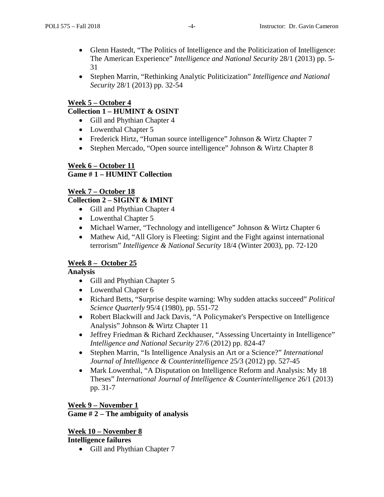- Glenn Hastedt, "The Politics of Intelligence and the Politicization of Intelligence: The American Experience" *Intelligence and National Security* 28/1 (2013) pp. 5- 31
- Stephen Marrin, "Rethinking Analytic Politicization" *Intelligence and National Security* 28/1 (2013) pp. 32-54

## **Week 5 – October 4**

## **Collection 1 – HUMINT & OSINT**

- Gill and Phythian Chapter 4
- Lowenthal Chapter 5
- Frederick Hirtz, "Human source intelligence" Johnson & Wirtz Chapter 7
- Stephen Mercado, "Open source intelligence" Johnson & Wirtz Chapter 8

### **Week 6 – October 11 Game # 1 – HUMINT Collection**

## **Week 7 – October 18**

## **Collection 2 – SIGINT & IMINT**

- Gill and Phythian Chapter 4
- Lowenthal Chapter 5
- Michael Warner, "Technology and intelligence" Johnson & Wirtz Chapter 6
- Mathew Aid, "All Glory is Fleeting: Sigint and the Fight against international terrorism" *Intelligence & National Security* 18/4 (Winter 2003), pp. 72-120

# **Week 8 – October 25**

### **Analysis**

- Gill and Phythian Chapter 5
- Lowenthal Chapter 6
- Richard Betts, "Surprise despite warning: Why sudden attacks succeed" *Political Science Quarterly* 95/4 (1980), pp. 551-72
- Robert Blackwill and Jack Davis, "A Policymaker's Perspective on Intelligence Analysis" Johnson & Wirtz Chapter 11
- Jeffrey Friedman & Richard Zeckhauser, "Assessing Uncertainty in Intelligence" *Intelligence and National Security* 27/6 (2012) pp. 824-47
- Stephen Marrin, "Is Intelligence Analysis an Art or a Science?" *International Journal of Intelligence & Counterintelligence* 25/3 (2012) pp. 527-45
- Mark Lowenthal, "A Disputation on Intelligence Reform and Analysis: My 18 Theses" *International Journal of Intelligence & Counterintelligence* 26/1 (2013) pp. 31-7

### **Week 9 – November 1**

### **Game # 2 – The ambiguity of analysis**

# **Week 10 – November 8**

## **Intelligence failures**

• Gill and Phythian Chapter 7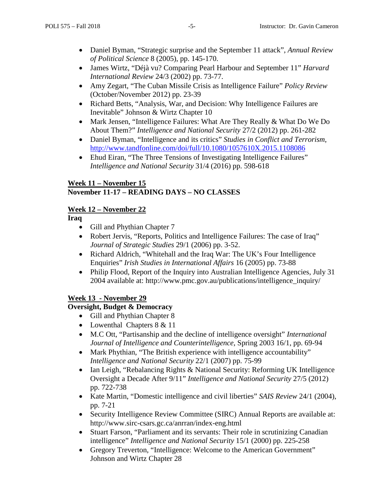- Daniel Byman, "Strategic surprise and the September 11 attack", *Annual Review of Political Science* 8 (2005), pp. 145-170.
- James Wirtz, "Déjà vu? Comparing Pearl Harbour and September 11" *Harvard International Review* 24/3 (2002) pp. 73-77.
- Amy Zegart, "The Cuban Missile Crisis as Intelligence Failure" *Policy Review* (October/November 2012) pp. 23-39
- Richard Betts, "Analysis, War, and Decision: Why Intelligence Failures are Inevitable" Johnson & Wirtz Chapter 10
- Mark Jensen, "Intelligence Failures: What Are They Really & What Do We Do About Them?" *Intelligence and National Security* 27/2 (2012) pp. 261-282
- Daniel Byman, "Intelligence and its critics" *Studies in Conflict and Terrorism*, <http://www.tandfonline.com/doi/full/10.1080/1057610X.2015.1108086>
- Ehud Eiran, "The Three Tensions of Investigating Intelligence Failures" *Intelligence and National Security* 31/4 (2016) pp. 598-618

### **Week 11 – November 15 November 11-17 – READING DAYS – NO CLASSES**

# **Week 12 – November 22**

**Iraq**

- Gill and Phythian Chapter 7
- Robert Jervis, "Reports, Politics and Intelligence Failures: The case of Iraq" *Journal of Strategic Studies* 29/1 (2006) pp. 3-52.
- Richard Aldrich, "Whitehall and the Iraq War: The UK's Four Intelligence Enquiries" *Irish Studies in International Affairs* 16 (2005) pp. 73-88
- Philip Flood, Report of the Inquiry into Australian Intelligence Agencies, July 31 2004 available at: http://www.pmc.gov.au/publications/intelligence\_inquiry/

### **Week 13 - November 29**

### **Oversight, Budget & Democracy**

- Gill and Phythian Chapter 8
- Lowenthal Chapters 8 & 11
- M.C Ott, "Partisanship and the decline of intelligence oversight" *International Journal of Intelligence and Counterintelligence*, Spring 2003 16/1, pp. 69-94
- Mark Phythian, "The British experience with intelligence accountability" *Intelligence and National Security* 22/1 (2007) pp. 75-99
- Ian Leigh, "Rebalancing Rights & National Security: Reforming UK Intelligence Oversight a Decade After 9/11" *Intelligence and National Security* 27/5 (2012) pp. 722-738
- Kate Martin, "Domestic intelligence and civil liberties" *SAIS Review* 24/1 (2004), pp. 7-21
- Security Intelligence Review Committee (SIRC) Annual Reports are available at: http://www.sirc-csars.gc.ca/anrran/index-eng.html
- Stuart Farson, "Parliament and its servants: Their role in scrutinizing Canadian intelligence" *Intelligence and National Security* 15/1 (2000) pp. 225-258
- Gregory Treverton, "Intelligence: Welcome to the American Government" Johnson and Wirtz Chapter 28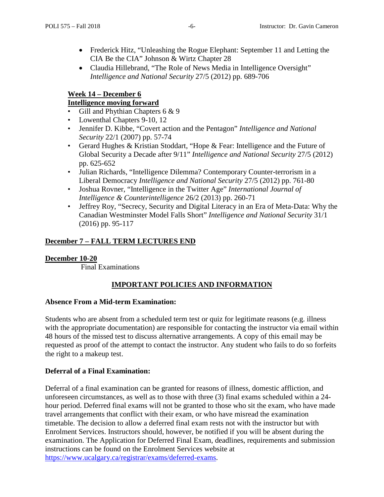- Frederick Hitz, "Unleashing the Rogue Elephant: September 11 and Letting the CIA Be the CIA" Johnson & Wirtz Chapter 28
- Claudia Hillebrand, "The Role of News Media in Intelligence Oversight" *Intelligence and National Security* 27/5 (2012) pp. 689-706

### **Week 14 – December 6**

## **Intelligence moving forward**

- Gill and Phythian Chapters 6 & 9
- Lowenthal Chapters 9-10, 12
- Jennifer D. Kibbe, "Covert action and the Pentagon" *Intelligence and National Security* 22/1 (2007) pp. 57-74
- Gerard Hughes & Kristian Stoddart, "Hope & Fear: Intelligence and the Future of Global Security a Decade after 9/11" *Intelligence and National Security* 27/5 (2012) pp. 625-652
- Julian Richards, "Intelligence Dilemma? Contemporary Counter-terrorism in a Liberal Democracy *Intelligence and National Security* 27/5 (2012) pp. 761-80
- Joshua Rovner, "Intelligence in the Twitter Age" *International Journal of Intelligence & Counterintelligence* 26/2 (2013) pp. 260-71
- Jeffrey Roy, "Secrecy, Security and Digital Literacy in an Era of Meta-Data: Why the Canadian Westminster Model Falls Short" *Intelligence and National Security* 31/1 (2016) pp. 95-117

## **December 7 – FALL TERM LECTURES END**

### **December 10-20**

Final Examinations

# **IMPORTANT POLICIES AND INFORMATION**

### **Absence From a Mid-term Examination:**

Students who are absent from a scheduled term test or quiz for legitimate reasons (e.g. illness with the appropriate documentation) are responsible for contacting the instructor via email within 48 hours of the missed test to discuss alternative arrangements. A copy of this email may be requested as proof of the attempt to contact the instructor. Any student who fails to do so forfeits the right to a makeup test.

### **Deferral of a Final Examination:**

Deferral of a final examination can be granted for reasons of illness, domestic affliction, and unforeseen circumstances, as well as to those with three (3) final exams scheduled within a 24 hour period. Deferred final exams will not be granted to those who sit the exam, who have made travel arrangements that conflict with their exam, or who have misread the examination timetable. The decision to allow a deferred final exam rests not with the instructor but with Enrolment Services. Instructors should, however, be notified if you will be absent during the examination. The Application for Deferred Final Exam, deadlines, requirements and submission instructions can be found on the Enrolment Services website at [https://www.ucalgary.ca/registrar/exams/deferred-exams.](https://www.ucalgary.ca/registrar/exams/deferred-exams)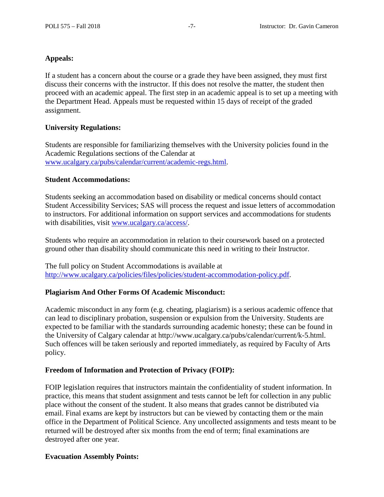### **Appeals:**

If a student has a concern about the course or a grade they have been assigned, they must first discuss their concerns with the instructor. If this does not resolve the matter, the student then proceed with an academic appeal. The first step in an academic appeal is to set up a meeting with the Department Head. Appeals must be requested within 15 days of receipt of the graded assignment.

### **University Regulations:**

Students are responsible for familiarizing themselves with the University policies found in the Academic Regulations sections of the Calendar at [www.ucalgary.ca/pubs/calendar/current/academic-regs.html.](http://www.ucalgary.ca/pubs/calendar/current/academic-regs.html)

#### **Student Accommodations:**

Students seeking an accommodation based on disability or medical concerns should contact Student Accessibility Services; SAS will process the request and issue letters of accommodation to instructors. For additional information on support services and accommodations for students with disabilities, visit [www.ucalgary.ca/access/.](http://www.ucalgary.ca/access/)

Students who require an accommodation in relation to their coursework based on a protected ground other than disability should communicate this need in writing to their Instructor.

The full policy on Student Accommodations is available at [http://www.ucalgary.ca/policies/files/policies/student-accommodation-policy.pdf.](http://www.ucalgary.ca/policies/files/policies/student-accommodation-policy.pdf)

#### **Plagiarism And Other Forms Of Academic Misconduct:**

Academic misconduct in any form (e.g. cheating, plagiarism) is a serious academic offence that can lead to disciplinary probation, suspension or expulsion from the University. Students are expected to be familiar with the standards surrounding academic honesty; these can be found in the University of Calgary calendar at http://www.ucalgary.ca/pubs/calendar/current/k-5.html. Such offences will be taken seriously and reported immediately, as required by Faculty of Arts policy.

#### **Freedom of Information and Protection of Privacy (FOIP):**

FOIP legislation requires that instructors maintain the confidentiality of student information. In practice, this means that student assignment and tests cannot be left for collection in any public place without the consent of the student. It also means that grades cannot be distributed via email. Final exams are kept by instructors but can be viewed by contacting them or the main office in the Department of Political Science. Any uncollected assignments and tests meant to be returned will be destroyed after six months from the end of term; final examinations are destroyed after one year.

#### **Evacuation Assembly Points:**